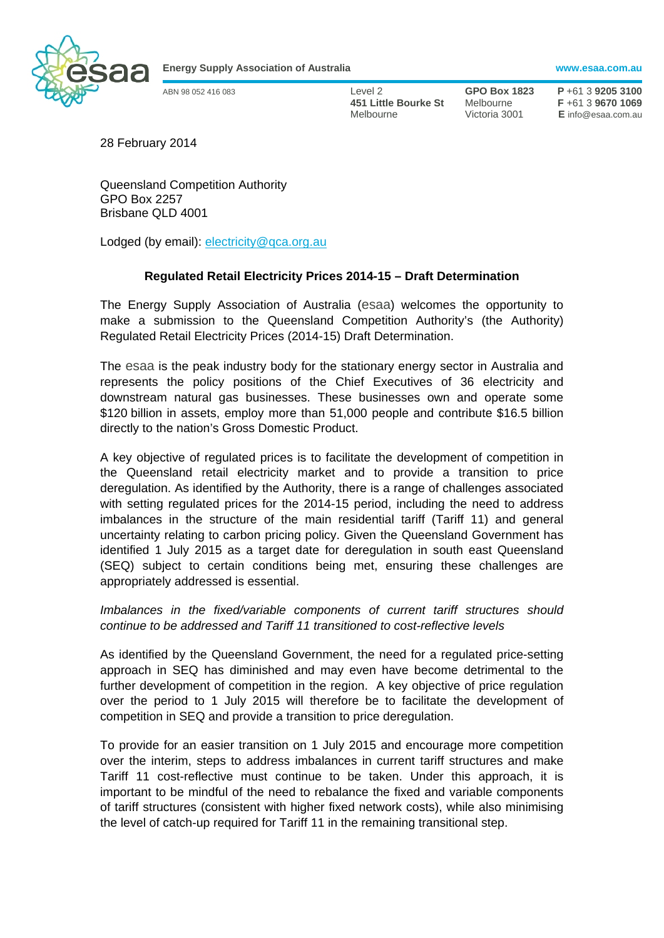

**Energy Supply Association of Australia www.esaa.com.au** 

ABN 98 052 416 083 Level 2 **GPO Box 1823 P** +61 3 **9205 3100 451 Little Bourke St** Melbourne **F** +61 3 **9670 1069**  Melbourne Victoria 3001 **E** info@esaa.com.au

28 February 2014

Queensland Competition Authority GPO Box 2257 Brisbane QLD 4001

Lodged (by email): electricity@qca.org.au

## **Regulated Retail Electricity Prices 2014-15 – Draft Determination**

The Energy Supply Association of Australia (esaa) welcomes the opportunity to make a submission to the Queensland Competition Authority's (the Authority) Regulated Retail Electricity Prices (2014-15) Draft Determination.

The esaa is the peak industry body for the stationary energy sector in Australia and represents the policy positions of the Chief Executives of 36 electricity and downstream natural gas businesses. These businesses own and operate some \$120 billion in assets, employ more than 51,000 people and contribute \$16.5 billion directly to the nation's Gross Domestic Product.

A key objective of regulated prices is to facilitate the development of competition in the Queensland retail electricity market and to provide a transition to price deregulation. As identified by the Authority, there is a range of challenges associated with setting regulated prices for the 2014-15 period, including the need to address imbalances in the structure of the main residential tariff (Tariff 11) and general uncertainty relating to carbon pricing policy. Given the Queensland Government has identified 1 July 2015 as a target date for deregulation in south east Queensland (SEQ) subject to certain conditions being met, ensuring these challenges are appropriately addressed is essential.

*Imbalances in the fixed/variable components of current tariff structures should continue to be addressed and Tariff 11 transitioned to cost-reflective levels* 

As identified by the Queensland Government, the need for a regulated price-setting approach in SEQ has diminished and may even have become detrimental to the further development of competition in the region. A key objective of price regulation over the period to 1 July 2015 will therefore be to facilitate the development of competition in SEQ and provide a transition to price deregulation.

To provide for an easier transition on 1 July 2015 and encourage more competition over the interim, steps to address imbalances in current tariff structures and make Tariff 11 cost-reflective must continue to be taken. Under this approach, it is important to be mindful of the need to rebalance the fixed and variable components of tariff structures (consistent with higher fixed network costs), while also minimising the level of catch-up required for Tariff 11 in the remaining transitional step.